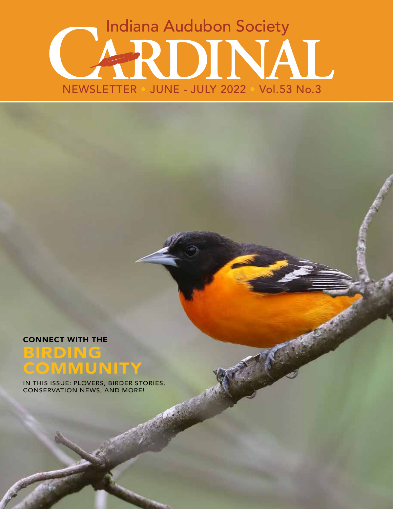# Indiana Audubon Society RDINAL NEWSLETTER • JUNE - JULY 2022 • Vol.53 No.3

CONNECT WITH THE

## BIRDING **COMMUNITY**

IN THIS ISSUE: PLOVERS, BIRDER STORIES, CONSERVATION NEWS, AND MORE!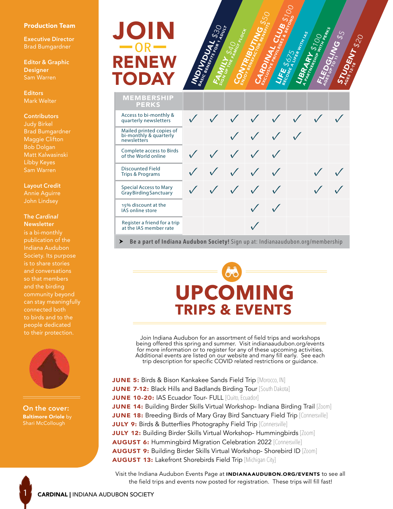#### Production Team

**Executive Director** Brad Bumgardner

**Editor & Graphic Designer** Sam Warren

**Editors** Mark Welter

#### **Contributors**

Judy Birkel Brad Bumgardner Maggie Clifton Bob Dolgan Matt Kalwasinski Libby Keyes Sam Warren

**Layout Credit**

Annie Aguirre

#### **The** *Cardinal* **Newsletter**

Indiana Audubon Society. Its purpose is to share stories and conversations so that members and the birding community beyond can stay meaningfully connected both to birds and to the people dedicated to their protection.



**On the cover:** Baltimore Oriole by Shari McCollough

1

## RENEW JOIN TODAY  $-$ OR $-$



| <b>MEMBERSHIP</b><br><b>PERKS</b>                                 |                                                     |  |                                        |               |  |
|-------------------------------------------------------------------|-----------------------------------------------------|--|----------------------------------------|---------------|--|
| Access to bi-monthly &<br>quarterly newsletters                   |                                                     |  |                                        | V V V V V V V |  |
| Mailed printed copies of<br>bi-monthly & quarterly<br>newsletters |                                                     |  | $\checkmark$ $\checkmark$ $\checkmark$ |               |  |
| Complete access to Birds<br>of the World online                   | $\checkmark$ $\checkmark$ $\checkmark$ $\checkmark$ |  |                                        |               |  |
| <b>Discounted Field</b><br>Trips & Programs                       | V V V V                                             |  |                                        |               |  |
| <b>Special Access to Mary</b><br>Gray Birding Sanctuary           | V V V V V                                           |  |                                        |               |  |
| 15% discount at the<br><b>IAS</b> online store                    |                                                     |  | $\checkmark$                           |               |  |
| Register a friend for a trip<br>at the IAS member rate            |                                                     |  |                                        |               |  |

**Be a part of Indiana Audubon Society!** Sign up at: Indianaaudubon.org/membership

# **UPCOMING TRIPS & EVENTS**

Join Indiana Audubon for an assortment of field trips and workshops being offered this spring and summer. Visit indianaaudubon.org/events for more information or to register for any of these upcoming activities.<br>Additional events are listed on our website and many fill early. See each trip description for specific COVID related restrictions or guidance.

**JUNE 5:** Birds & Bison Kankakee Sands Field Trip [Morocco, IN] JUNE 7-12: Black Hills and Badlands Birding Tour [South Dakota] JUNE 10-20: IAS Ecuador Tour- FULL [Quito, Ecuador] JUNE 14: Building Birder Skills Virtual Workshop- Indiana Birding Trail [Zoom] **JUNE 18:** Breeding Birds of Mary Gray Bird Sanctuary Field Trip [Connersville] JULY 9: Birds & Butterflies Photography Field Trip [Connersville] JULY 12: Building Birder Skills Virtual Workshop- Hummingbirds [Zoom] AUGUST 6: Hummingbird Migration Celebration 2022 [Connersville] AUGUST 9: Building Birder Skills Virtual Workshop- Shorebird ID [Zoom] AUGUST 13: Lakefront Shorebirds Field Trip [Michigan City]

Visit the Indiana Audubon Events Page at INDIANAAUDUBON.ORG/EVENTS to see all the field trips and events now posted for registration. These trips will fill fast!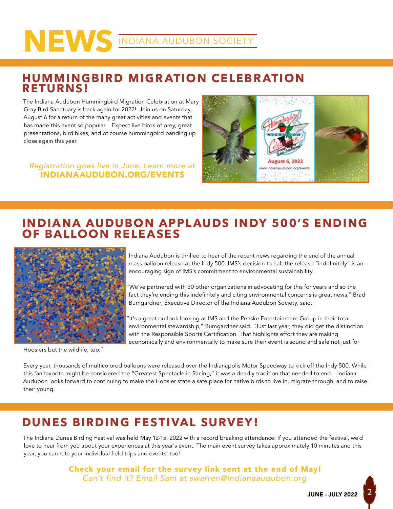# **NEWS** INDIANA AUDUBON SOCIETY

### **HUMMINGBIRD MIGRATION CELEBRATION RETURNS!**

The Indiana Audubon Hummingbird Migration Celebration at Mary Gray Bird Sanctuary is back again for 2022! Join us on Saturday, August 6 for a return of the many great activities and events that has made this event so popular. Expect live birds of prey, great presentations, bird hikes, and of course hummingbird banding up close again this year.

*Registration goes live in June. Learn more at* INDIANAAUDUBON.ORG/EVENTS



### **INDIANA AUDUBON APPLAUDS INDY 500'S ENDING OF BALLOON RELEASES**



Hoosiers but the wildlife, too."

Indiana Audubon is thrilled to hear of the recent news regarding the end of the annual mass balloon release at the Indy 500. IMS's decision to halt the release "indefinitely" is an encouraging sign of IMS's commitment to environmental sustainability.

We've partnered with 30 other organizations in advocating for this for years and so the fact they're ending this indefinitely and citing environmental concerns is great news," Brad Bumgardner, Executive Director of the Indiana Audubon Society, said.

It's a great outlook looking at IMS and the Penske Entertainment Group in their total environmental stewardship," Bumgardner said. "Just last year, they did get the distinction with the Responsible Sports Certification. That highlights effort they are making economically and environmentally to make sure their event is sound and safe not just for

Every year, thousands of multicolored balloons were released over the Indianapolis Motor Speedway to kick off the Indy 500. While this fan favorite might be considered the "Greatest Spectacle in Racing," it was a deadly tradition that needed to end. Indiana Audubon looks forward to continuing to make the Hoosier state a safe place for native birds to live in, migrate through, and to raise their young.

### **DUNES BIRDING FESTIVAL SURVEY!**

The Indiana Dunes Birding Festival was held May 12-15, 2022 with a record breaking attendance! If you attended the festival, we'd love to hear from you about your experiences at this year's event. The main event survey takes approximately 10 minutes and this year, you can rate your individual field trips and events, too!

> Check your email for the survey link sent at the end of May! *Can't find it? Email Sam at swarren@indianaaudubon.org*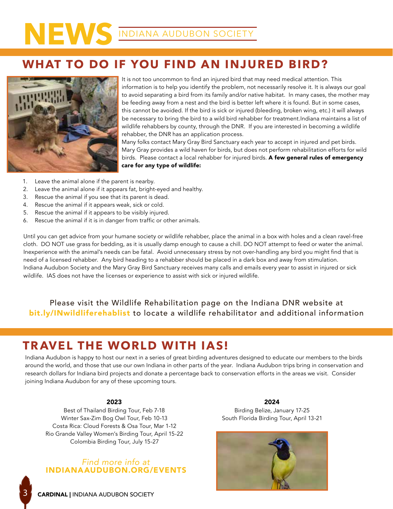## **WHAT TO DO IF YOU FIND AN INJURED BIRD?**



It is not too uncommon to find an injured bird that may need medical attention. This information is to help you identify the problem, not necessarily resolve it. It is always our goal to avoid separating a bird from its family and/or native habitat. In many cases, the mother may be feeding away from a nest and the bird is better left where it is found. But in some cases, this cannot be avoided. If the bird is sick or injured (bleeding, broken wing, etc.) it will always be necessary to bring the bird to a wild bird rehabber for treatment.Indiana maintains a list of wildlife rehabbers by county, through the DNR. If you are interested in becoming a wildlife rehabber, the DNR has an application process.

Many folks contact Mary Gray Bird Sanctuary each year to accept in injured and pet birds. Mary Gray provides a wild haven for birds, but does not perform rehabilitation efforts for wild birds. Please contact a local rehabber for injured birds. A few general rules of emergency care for any type of wildlife:

- 1. Leave the animal alone if the parent is nearby.
- 2. Leave the animal alone if it appears fat, bright-eyed and healthy.
- 3. Rescue the animal if you see that its parent is dead.
- 4. Rescue the animal if it appears weak, sick or cold.
- 5. Rescue the animal if it appears to be visibly injured.
- 6. Rescue the animal if it is in danger from traffic or other animals.

Until you can get advice from your humane society or wildlife rehabber, place the animal in a box with holes and a clean ravel-free cloth. DO NOT use grass for bedding, as it is usually damp enough to cause a chill. DO NOT attempt to feed or water the animal. Inexperience with the animal's needs can be fatal. Avoid unnecessary stress by not over-handling any bird you might find that is need of a licensed rehabber. Any bird heading to a rehabber should be placed in a dark box and away from stimulation. Indiana Audubon Society and the Mary Gray Bird Sanctuary receives many calls and emails every year to assist in injured or sick wildlife. IAS does not have the licenses or experience to assist with sick or injured wildlife.

Please visit the Wildlife Rehabilitation page on the Indiana DNR website at bit.ly/INwildliferehablist to locate a wildlife rehabilitator and additional information

### **TRAVEL THE WORLD WITH IAS!**

Indiana Audubon is happy to host our next in a series of great birding adventures designed to educate our members to the birds around the world, and those that use our own Indiana in other parts of the year. Indiana Audubon trips bring in conservation and research dollars for Indiana bird projects and donate a percentage back to conservation efforts in the areas we visit. Consider joining Indiana Audubon for any of these upcoming tours.

### 2023

Best of Thailand Birding Tour, Feb 7-18 Winter Sax-Zim Bog Owl Tour, Feb 10-13 Costa Rica: Cloud Forests & Osa Tour, Mar 1-12 Rio Grande Valley Women's Birding Tour, April 15-22 Colombia Birding Tour, July 15-27

### *Find more info at* INDIANAAUDUBON.ORG/EVENTS

2024 Birding Belize, January 17-25 South Florida Birding Tour, April 13-21

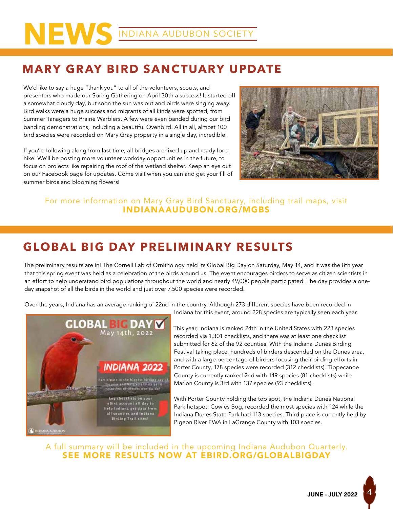# **NEWS** INDIANA AUDUBON SOCIETY

## **MARY GRAY BIRD SANCTUARY UPDATE**

We'd like to say a huge "thank you" to all of the volunteers, scouts, and presenters who made our Spring Gathering on April 30th a success! It started off a somewhat cloudy day, but soon the sun was out and birds were singing away. Bird walks were a huge success and migrants of all kinds were spotted, from Summer Tanagers to Prairie Warblers. A few were even banded during our bird banding demonstrations, including a beautiful Ovenbird! All in all, almost 100 bird species were recorded on Mary Gray property in a single day, incredible!

If you're following along from last time, all bridges are fixed up and ready for a hike! We'll be posting more volunteer workday opportunities in the future, to focus on projects like repairing the roof of the wetland shelter. Keep an eye out on our Facebook page for updates. Come visit when you can and get your fill of summer birds and blooming flowers!



### For more information on Mary Gray Bird Sanctuary, including trail maps, visit INDIANAAUDUBON.ORG/MGBS

## **GLOBAL BIG DAY PRELIMINARY RESULTS**

The preliminary results are in! The Cornell Lab of Ornithology held its Global Big Day on Saturday, May 14, and it was the 8th year that this spring event was held as a celebration of the birds around us. The event encourages birders to serve as citizen scientists in an effort to help understand bird populations throughout the world and nearly 49,000 people participated. The day provides a oneday snapshot of all the birds in the world and just over 7,500 species were recorded.

Over the years, Indiana has an average ranking of 22nd in the country. Although 273 different species have been recorded in



Indiana for this event, around 228 species are typically seen each year.

This year, Indiana is ranked 24th in the United States with 223 species recorded via 1,301 checklists, and there was at least one checklist submitted for 62 of the 92 counties. With the Indiana Dunes Birding Festival taking place, hundreds of birders descended on the Dunes area, and with a large percentage of birders focusing their birding efforts in Porter County, 178 species were recorded (312 checklists). Tippecanoe County is currently ranked 2nd with 149 species (81 checklists) while Marion County is 3rd with 137 species (93 checklists).

With Porter County holding the top spot, the Indiana Dunes National Park hotspot, Cowles Bog, recorded the most species with 124 while the Indiana Dunes State Park had 113 species. Third place is currently held by Pigeon River FWA in LaGrange County with 103 species.

A full summary will be included in the upcoming Indiana Audubon Quarterly. SEE MORE RESULTS NOW AT EBIRD.ORG/GLOBALBIGDAY

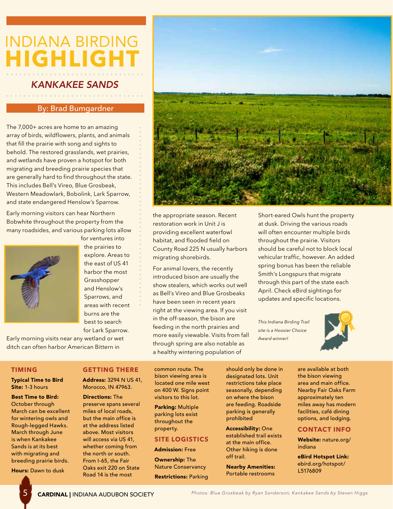## INDIANA BIRDING **HIGHLIGHT**

### *KANKAKEE SANDS*

### By: Brad Bumgardner

The 7,000+ acres are home to an amazing array of birds, wildflowers, plants, and animals that fill the prairie with song and sights to behold. The restored grasslands, wet prairies, and wetlands have proven a hotspot for both migrating and breeding prairie species that are generally hard to find throughout the state. This includes Bell's Vireo, Blue Grosbeak, Western Meadowlark, Bobolink, Lark Sparrow, and state endangered Henslow's Sparrow.

Early morning visitors can hear Northern Bobwhite throughout the property from the many roadsides, and various parking lots allow



the prairies to explore. Areas to the east of US 41 harbor the most Grasshopper and Henslow's Sparrows, and areas with recent burns are the best to search for Lark Sparrow.

for ventures into

Early morning visits near any wetland or wet ditch can often harbor American Bittern in



the appropriate season. Recent restoration work in Unit J is providing excellent waterfowl habitat, and flooded field on County Road 225 N usually harbors migrating shorebirds.

For animal lovers, the recently introduced bison are usually the show stealers, which works out well as Bell's Vireo and Blue Grosbeaks have been seen in recent years right at the viewing area. If you visit in the off-season, the bison are feeding in the north prairies and more easily viewable. Visits from fall through spring are also notable as a healthy wintering population of

Short-eared Owls hunt the property at dusk. Driving the various roads will often encounter multiple birds throughout the prairie. Visitors should be careful not to block local vehicular traffic, however. An added spring bonus has been the reliable Smith's Longspurs that migrate through this part of the state each April. Check eBird sightings for updates and specific locations.

*This Indiana Birding Trail site is a Hoosier Choice Award winner!*



### **TIMING**

Typical Time to Bird Site: 1-3 hours

Best Time to Bird: October through March can be excellent for wintering owls and Rough-legged Hawks. March through June is when Kankakee Sands is at its best with migrating and breeding prairie birds.

Hours: Dawn to dusk

### **GETTING THERE**

Address: 3294 N US 41, Morocco, IN 47963.

Directions: The preserve spans several miles of local roads, but the main office is at the address listed above. Most visitors will access via US 41, whether coming from the north or south. From I-65, the Fair Oaks exit 220 on State Road 14 is the most

common route. The bison viewing area is located one mile west on 400 W. Signs point visitors to this lot.

Parking: Multiple parking lots exist throughout the property.

### **SITE LOGISTICS**

Admission: Free

Ownership: The Nature Conservancy Restrictions: Parking should only be done in designated lots. Unit restrictions take place seasonally, depending on where the bison are feeding. Roadside parking is generally prohibited

Accessibility: One established trail exists at the main office. Other hiking is done off trail.

Nearby Amenities: Portable restrooms

are available at both the bison viewing area and main office. Nearby Fair Oaks Farm approximately ten miles away has modern facilities, café dining options, and lodging.

### **CONTACT INFO**

Website: nature.org/ indiana

eBird Hotspot Link: ebird.org/hotspot/ L5176809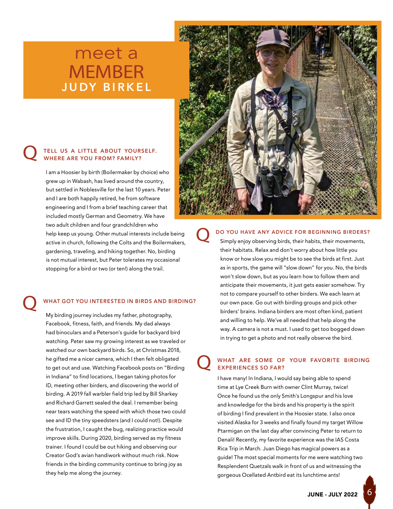## meet a MEMBER **JUDY BIRKEL**

## **Q** TELL US A LITTLE ABOUT YOURSELF.<br>WHERE ARE YOU FROM? FAMILY?

I am a Hoosier by birth (Boilermaker by choice) who grew up in Wabash, has lived around the country, but settled in Noblesville for the last 10 years. Peter and I are both happily retired, he from software engineering and I from a brief teaching career that included mostly German and Geometry. We have two adult children and four grandchildren who help keep us young. Other mutual interests include being active in church, following the Colts and the Boilermakers, gardening, traveling, and hiking together. No, birding is not mutual interest, but Peter tolerates my occasional stopping for a bird or two (or ten!) along the trail.

### WHAT GOT YOU INTERESTED IN BIRDS AND BIRDING?

My birding journey includes my father, photography, Facebook, fitness, faith, and friends. My dad always had binoculars and a Peterson's guide for backyard bird watching. Peter saw my growing interest as we traveled or watched our own backyard birds. So, at Christmas 2018, he gifted me a nicer camera, which I then felt obligated to get out and use. Watching Facebook posts on "Birding in Indiana" to find locations, I began taking photos for ID, meeting other birders, and discovering the world of birding. A 2019 fall warbler field trip led by Bill Sharkey and Richard Garrett sealed the deal. I remember being near tears watching the speed with which those two could see and ID the tiny speedsters (and I could not!). Despite the frustration, I caught the bug, realizing practice would improve skills. During 2020, birding served as my fitness trainer. I found I could be out hiking and observing our Creator God's avian handiwork without much risk. Now friends in the birding community continue to bring joy as they help me along the journey.



Q DO YOU HAVE ANY ADVICE FOR BEGINNING BIRDERS? Simply enjoy observing birds, their habits, their movements,

their habitats. Relax and don't worry about how little you know or how slow you might be to see the birds at first. Just as in sports, the game will "slow down" for you. No, the birds won't slow down, but as you learn how to follow them and anticipate their movements, it just gets easier somehow. Try not to compare yourself to other birders. We each learn at our own pace. Go out with birding groups and pick other birders' brains. Indiana birders are most often kind, patient and willing to help. We've all needed that help along the way. A camera is not a must. I used to get too bogged down in trying to get a photo and not really observe the bird.

### WHAT ARE SOME OF YOUR FAVORITE BIRDING EXPERIENCES SO FAR?

I have many! In Indiana, I would say being able to spend time at Lye Creek Burn with owner Clint Murray, twice! Once he found us the only Smith's Longspur and his love and knowledge for the birds and his property is the spirit of birding I find prevalent in the Hoosier state. I also once visited Alaska for 3 weeks and finally found my target Willow Ptarmigan on the last day after convincing Peter to return to Denali! Recently, my favorite experience was the IAS Costa Rica Trip in March. Juan Diego has magical powers as a guide! The most special moments for me were watching two Resplendent Quetzals walk in front of us and witnessing the gorgeous Ocellated Antbird eat its lunchtime ants!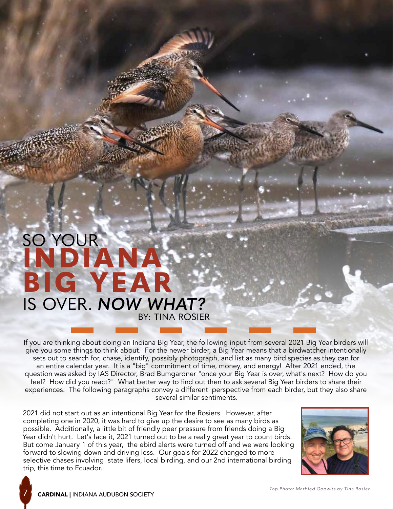## SO YOUR BY: TINA ROSIER **INDIANA BIG YEAR** IS OVER. *NOW WHAT?*

If you are thinking about doing an Indiana Big Year, the following input from several 2021 Big Year birders will give you some things to think about. For the newer birder, a Big Year means that a birdwatcher intentionally sets out to search for, chase, identify, possibly photograph, and list as many bird species as they can for an entire calendar year. It is a "big" commitment of time, money, and energy! After 2021 ended, the question was asked by IAS Director, Brad Bumgardner "once your Big Year is over, what's next? How do you feel? How did you react?" What better way to find out then to ask several Big Year birders to share their experiences. The following paragraphs convey a different perspective from each birder, but they also share several similar sentiments.

2021 did not start out as an intentional Big Year for the Rosiers. However, after completing one in 2020, it was hard to give up the desire to see as many birds as possible. Additionally, a little bit of friendly peer pressure from friends doing a Big Year didn't hurt. Let's face it, 2021 turned out to be a really great year to count birds. But come January 1 of this year, the ebird alerts were turned off and we were looking forward to slowing down and driving less. Our goals for 2022 changed to more selective chases involving state lifers, local birding, and our 2nd international birding trip, this time to Ecuador.

7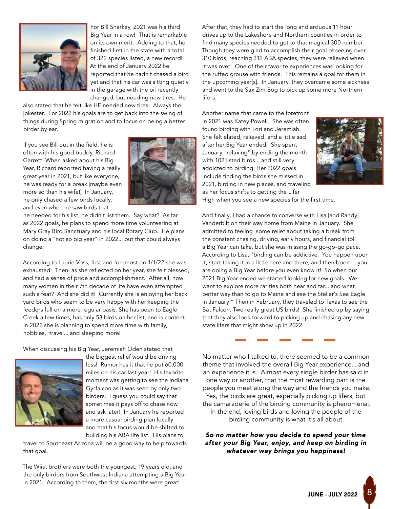

For Bill Sharkey, 2021 was his third Big Year in a row! That is remarkable on its own merit. Adding to that, he finished first in the state with a total of 322 species listed, a new record! At the end of January 2022 he reported that he hadn't chased a bird yet and that his car was sitting quietly in the garage with the oil recently changed, but needing new tires. He

also stated that he felt like HE needed new tires! Always the jokester. For 2022 his goals are to get back into the swing of things during Spring migration and to focus on being a better birder by ear.

If you see Bill out in the field, he is often with his good buddy, Richard Garrett. When asked about his Big Year, Richard reported having a really great year in 2021, but like everyone, he was ready for a break [maybe even more so than his wife!] In January, he only chased a few birds locally, and even when he saw birds that



he needed for his list, he didn't list them. Say what? As far as 2022 goals, he plans to spend more time volunteering at Mary Gray Bird Sanctuary and his local Rotary Club. He plans on doing a "not so big year" in 2022... but that could always change!

According to Laurie Voss, first and foremost on 1/1/22 she was exhausted! Then, as she reflected on her year, she felt blessed, and had a sense of pride and accomplishment. After all, how many women in their 7th decade of life have even attempted such a feat? And she did it! Currently she is enjoying her back yard birds who seem to be very happy with her keeping the feeders full on a more regular basis. She has been to Eagle Creek a few times, has only 53 birds on her list, and is content. In 2022 she is planning to spend more time with family, hobbies, travel... and sleeping more!

When discussing his Big Year, Jeremiah Oden stated that



the biggest relief would be driving less! Rumor has it that he put 60,000 miles on his car last year! His favorite moment was getting to see the Indiana Gyrfalcon as it was seen by only two birders. I guess you could say that sometimes it pays off to chase now and ask later! In January he reported a more casual birding plan locally and that his focus would be shifted to building his ABA life list. His plans to

travel to Southeast Arizona will be a good way to help towards that goal.

The Wiist brothers were both the youngest, 19 years old, and the only birders from Southwest Indiana attempting a Big Year in 2021. According to them, the first six months were great!

After that, they had to start the long and arduous 11 hour drives up to the Lakeshore and Northern counties in order to find many species needed to get to that magical 300 number. Though they were glad to accomplish their goal of seeing over 310 birds, reaching 312 ABA species, they were relieved when it was over! One of their favorite experiences was looking for the ruffed grouse with friends. This remains a goal for them in the upcoming year[s]. In January, they overcame some sickness and went to the Sax Zim Bog to pick up some more Northern lifers.

Another name that came to the forefront in 2021 was Katey Powell. She was often found birding with Lori and Jeremiah. She felt elated, relieved, and a little sad after her Big Year ended. She spent January "relaxing" by ending the month with 102 listed birds... and still very addicted to birding! Her 2022 goals include finding the birds she missed in 2021, birding in new places, and traveling as her focus shifts to getting the Lifer



High when you see a new species for the first time.

And finally, I had a chance to converse with Lisa [and Randy] Vanderbilt on their way home from Maine in January. She admitted to feeling some relief about taking a break from the constant chasing, driving, early hours, and financial toll a Big Year can take, but she was missing the go-go-go pace. According to Lisa, "birding can be addictive. You happen upon it, start taking it in a little here and there, and then boom... you are doing a Big Year before you even know it! So when our 2021 Big Year ended we started looking for new goals. We want to explore more rarities both near and far... and what better way than to go to Maine and see the Stellar's Sea Eagle in January!" Then in February, they traveled to Texas to see the Bat Falcon. Two really great US birds! She finished up by saying that they also look forward to picking up and chasing any new state lifers that might show up in 2022.



No matter who I talked to, there seemed to be a common theme that involved the overall Big Year experience... and an experience it is. Almost every single birder has said in one way or another, that the most rewarding part is the people you meet along the way and the friends you make. Yes, the birds are great, especially picking up lifers, but the camaraderie of the birding community is phenomenal. In the end, loving birds and loving the people of the birding community is what it's all about.

*So no matter how you decide to spend your time after your Big Year, enjoy, and keep on birding in whatever way brings you happiness!* 

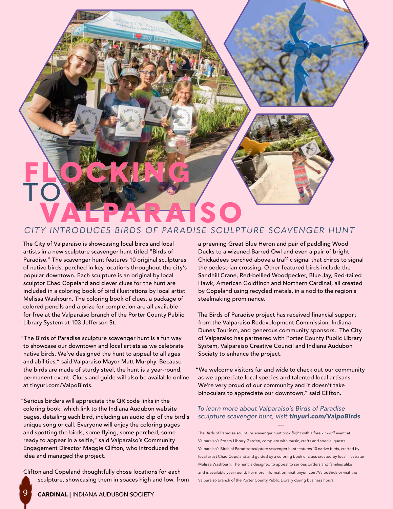

### *CITY INTRODUCES BIRDS OF PARADISE SCULPTURE SCAVENGER HUNT*

The City of Valparaiso is showcasing local birds and local artists in a new sculpture scavenger hunt titled "Birds of Paradise." The scavenger hunt features 10 original sculptures of native birds, perched in key locations throughout the city's popular downtown. Each sculpture is an original by local sculptor Chad Copeland and clever clues for the hunt are included in a coloring book of bird illustrations by local artist Melissa Washburn. The coloring book of clues, a package of colored pencils and a prize for completion are all available for free at the Valparaiso branch of the Porter County Public Library System at 103 Jefferson St.

"The Birds of Paradise sculpture scavenger hunt is a fun way to showcase our downtown and local artists as we celebrate native birds. We've designed the hunt to appeal to all ages and abilities," said Valparaiso Mayor Matt Murphy. Because the birds are made of sturdy steel, the hunt is a year-round, permanent event. Clues and guide will also be available online at tinyurl.com/ValpoBirds.

"Serious birders will appreciate the QR code links in the coloring book, which link to the Indiana Audubon website pages, detailing each bird, including an audio clip of the bird's unique song or call. Everyone will enjoy the coloring pages and spotting the birds, some flying, some perched, some ready to appear in a selfie," said Valparaiso's Community Engagement Director Maggie Clifton, who introduced the idea and managed the project.

Clifton and Copeland thoughtfully chose locations for each sculpture, showcasing them in spaces high and low, from a preening Great Blue Heron and pair of paddling Wood Ducks to a wizened Barred Owl and even a pair of bright Chickadees perched above a traffic signal that chirps to signal the pedestrian crossing. Other featured birds include the Sandhill Crane, Red-bellied Woodpecker, Blue Jay, Red-tailed Hawk, American Goldfinch and Northern Cardinal, all created by Copeland using recycled metals, in a nod to the region's steelmaking prominence.

The Birds of Paradise project has received financial support from the Valparaiso Redevelopment Commission, Indiana Dunes Tourism, and generous community sponsors. The City of Valparaiso has partnered with Porter County Public Library System, Valparaiso Creative Council and Indiana Audubon Society to enhance the project.

"We welcome visitors far and wide to check out our community as we appreciate local species and talented local artisans. We're very proud of our community and it doesn't take binoculars to appreciate our downtown," said Clifton.

### *To learn more about Valparaiso's Birds of Paradise sculpture scavenger hunt, visit tinyurl.com/ValpoBirds.* ---

The Birds of Paradise sculpture scavenger hunt took flight with a free kick-off event at Valparaiso's Rotary Library Garden, complete with music, crafts and special guests. Valparaiso's Birds of Paradise sculpture scavenger hunt features 10 native birds, crafted by local artist Chad Copeland and guided by a coloring book of clues created by local illustrator Melissa Washburn. The hunt is designed to appeal to serious birders and families alike and is available year-round. For more information, visit tinyurl.com/ValpoBirds or visit the Valparaiso branch of the Porter County Public Library during business hours.

9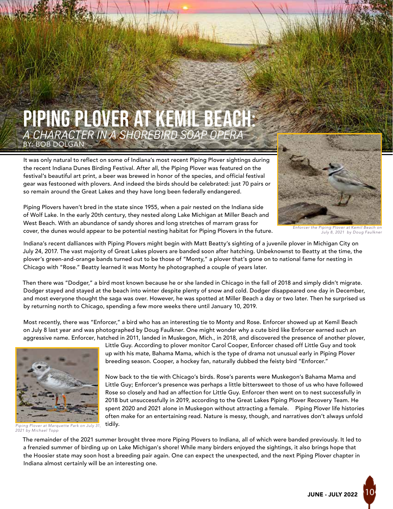

It was only natural to reflect on some of Indiana's most recent Piping Plover sightings during the recent Indiana Dunes Birding Festival. After all, the Piping Plover was featured on the festival's beautiful art print, a beer was brewed in honor of the species, and official festival gear was festooned with plovers. And indeed the birds should be celebrated: just 70 pairs or so remain around the Great Lakes and they have long been federally endangered.



Piping Plovers haven't bred in the state since 1955, when a pair nested on the Indiana side of Wolf Lake. In the early 20th century, they nested along Lake Michigan at Miller Beach and West Beach. With an abundance of sandy shores and long stretches of marram grass for cover, the dunes would appear to be potential nesting habitat for Piping Plovers in the future.

*Enforcer the Piping Plover at Kemil Beach on July 8, 2021 by Doug Faulkner*

Indiana's recent dalliances with Piping Plovers might begin with Matt Beatty's sighting of a juvenile plover in Michigan City on July 24, 2017. The vast majority of Great Lakes plovers are banded soon after hatching. Unbeknownst to Beatty at the time, the plover's green-and-orange bands turned out to be those of "Monty," a plover that's gone on to national fame for nesting in Chicago with "Rose." Beatty learned it was Monty he photographed a couple of years later.

Then there was "Dodger," a bird most known because he or she landed in Chicago in the fall of 2018 and simply didn't migrate. Dodger stayed and stayed at the beach into winter despite plenty of snow and cold. Dodger disappeared one day in December, and most everyone thought the saga was over. However, he was spotted at Miller Beach a day or two later. Then he surprised us by returning north to Chicago, spending a few more weeks there until January 10, 2019.

Most recently, there was "Enforcer," a bird who has an interesting tie to Monty and Rose. Enforcer showed up at Kemil Beach on July 8 last year and was photographed by Doug Faulkner. One might wonder why a cute bird like Enforcer earned such an aggressive name. Enforcer, hatched in 2011, landed in Muskegon, Mich., in 2018, and discovered the presence of another plover,



*Piping Plover at Marquette Park on July 31, 2021 by Michael Topp*

Little Guy. According to plover monitor Carol Cooper, Enforcer chased off Little Guy and took up with his mate, Bahama Mama, which is the type of drama not unusual early in Piping Plover breeding season. Cooper, a hockey fan, naturally dubbed the feisty bird "Enforcer."

Now back to the tie with Chicago's birds. Rose's parents were Muskegon's Bahama Mama and Little Guy; Enforcer's presence was perhaps a little bittersweet to those of us who have followed Rose so closely and had an affection for Little Guy. Enforcer then went on to nest successfully in 2018 but unsuccessfully in 2019, according to the Great Lakes Piping Plover Recovery Team. He spent 2020 and 2021 alone in Muskegon without attracting a female. Piping Plover life histories often make for an entertaining read. Nature is messy, though, and narratives don't always unfold tidily.

The remainder of the 2021 summer brought three more Piping Plovers to Indiana, all of which were banded previously. It led to a frenzied summer of birding up on Lake Michigan's shore! While many birders enjoyed the sightings, it also brings hope that the Hoosier state may soon host a breeding pair again. One can expect the unexpected, and the next Piping Plover chapter in Indiana almost certainly will be an interesting one.